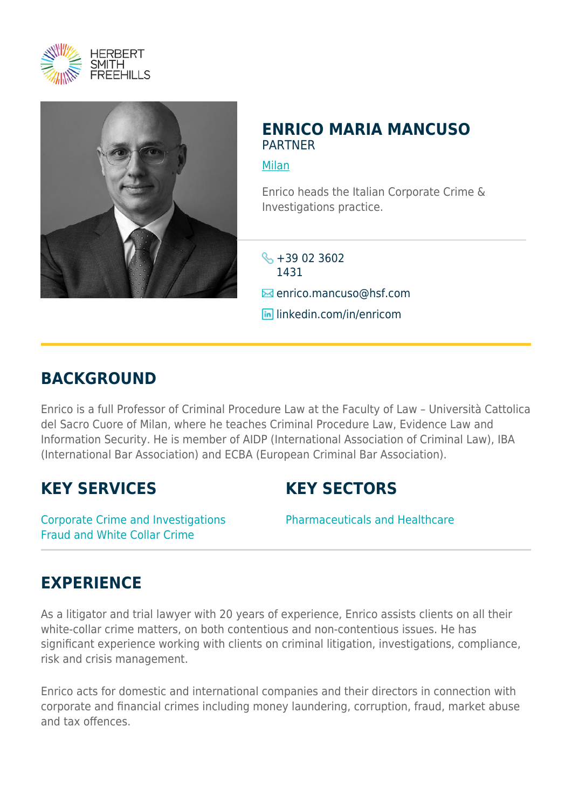



#### **ENRICO MARIA MANCUSO** PARTNER

[Milan](https://www.herbertsmithfreehills.com/where-we-work/milan)

Enrico heads the Italian Corporate Crime & Investigations practice.

 $\leftarrow +39023602$ 1431

**Ex** enrico.mancuso@hsf.com

**lin** linkedin.com/in/enricom

### **BACKGROUND**

Enrico is a full Professor of Criminal Procedure Law at the Faculty of Law – Università Cattolica del Sacro Cuore of Milan, where he teaches Criminal Procedure Law, Evidence Law and Information Security. He is member of AIDP (International Association of Criminal Law), IBA (International Bar Association) and ECBA (European Criminal Bar Association).

## **KEY SERVICES**

# **KEY SECTORS**

Corporate Crime and Investigations Fraud and White Collar Crime

Pharmaceuticals and Healthcare

# **EXPERIENCE**

As a litigator and trial lawyer with 20 years of experience, Enrico assists clients on all their white-collar crime matters, on both contentious and non-contentious issues. He has significant experience working with clients on criminal litigation, investigations, compliance, risk and crisis management.

Enrico acts for domestic and international companies and their directors in connection with corporate and financial crimes including money laundering, corruption, fraud, market abuse and tax offences.